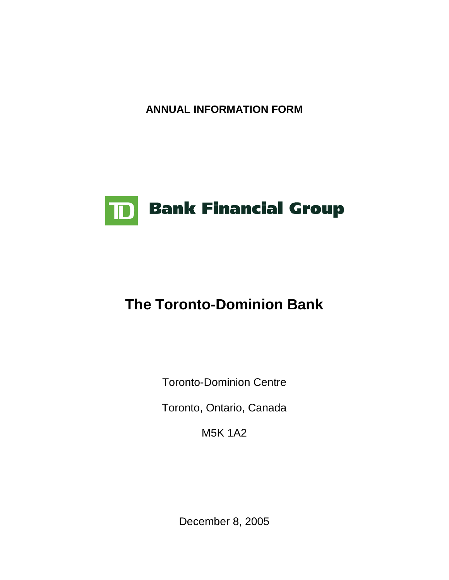**ANNUAL INFORMATION FORM** 



# **The Toronto-Dominion Bank**

Toronto-Dominion Centre

Toronto, Ontario, Canada

M5K 1A2

December 8, 2005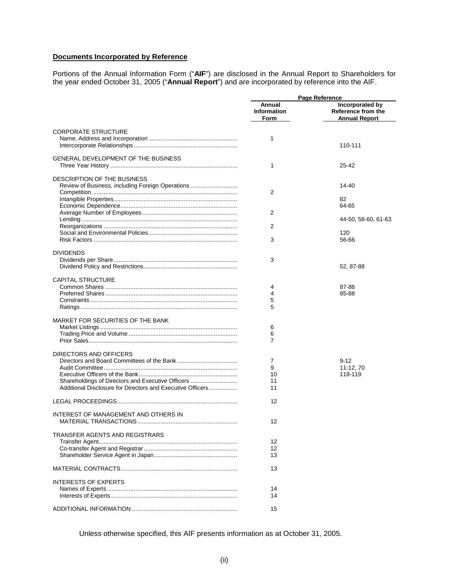# **Documents Incorporated by Reference**

Portions of the Annual Information Form ("**AIF**") are disclosed in the Annual Report to Shareholders for the year ended October 31, 2005 ("**Annual Report**") and are incorporated by reference into the AIF.

|                                                               | Page Reference                       |                                                                      |
|---------------------------------------------------------------|--------------------------------------|----------------------------------------------------------------------|
|                                                               | Annual<br><b>Information</b><br>Form | <b>Incorporated by</b><br>Reference from the<br><b>Annual Report</b> |
| <b>CORPORATE STRUCTURE</b>                                    | 1                                    | 110-111                                                              |
| <b>GENERAL DEVELOPMENT OF THE BUSINESS</b>                    | 1                                    | 25-42                                                                |
| DESCRIPTION OF THE BUSINESS                                   |                                      |                                                                      |
| Review of Business, including Foreign Operations              | 2                                    | $14 - 40$<br>82                                                      |
|                                                               | 2                                    | 64-65<br>44-50, 58-60, 61-63                                         |
|                                                               | 2<br>3                               | 120<br>56-66                                                         |
| <b>DIVIDENDS</b>                                              |                                      |                                                                      |
|                                                               | 3                                    | 52, 87-88                                                            |
| <b>CAPITAL STRUCTURE</b>                                      | 4<br>4                               | 87-88<br>85-88                                                       |
|                                                               | 5<br>5                               |                                                                      |
| MARKET FOR SECURITIES OF THE BANK                             | 6                                    |                                                                      |
|                                                               | 6<br>7                               |                                                                      |
| DIRECTORS AND OFFICERS                                        | 7<br>9                               | $9 - 12$                                                             |
| Shareholdings of Directors and Executive Officers             | 10<br>11                             | 11-12, 70<br>118-119                                                 |
| Additional Disclosure for Directors and Executive Officers    | 11<br>12                             |                                                                      |
| INTEREST OF MANAGEMENT AND OTHERS IN<br>MATERIAL TRANSACTIONS | 12                                   |                                                                      |
| TRANSFER AGENTS AND REGISTRARS                                |                                      |                                                                      |
|                                                               | 12<br>12<br>13                       |                                                                      |
|                                                               | 13                                   |                                                                      |
| <b>INTERESTS OF EXPERTS</b>                                   | 14                                   |                                                                      |
|                                                               | 14<br>15                             |                                                                      |

Unless otherwise specified, this AIF presents information as at October 31, 2005.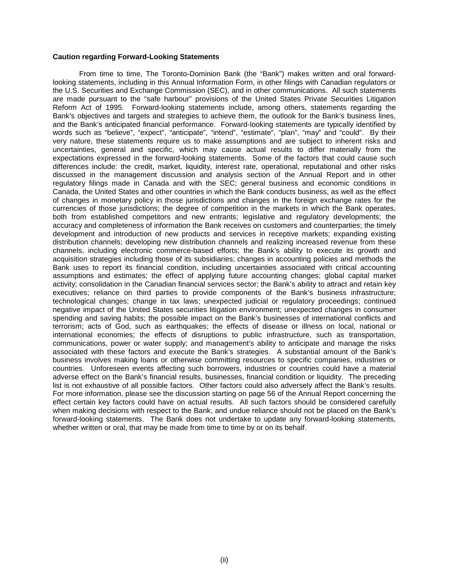### **Caution regarding Forward-Looking Statements**

From time to time, The Toronto-Dominion Bank (the "Bank") makes written and oral forwardlooking statements, including in this Annual Information Form, in other filings with Canadian regulators or the U.S. Securities and Exchange Commission (SEC), and in other communications. All such statements are made pursuant to the "safe harbour" provisions of the United States Private Securities Litigation Reform Act of 1995. Forward-looking statements include, among others, statements regarding the Bank's objectives and targets and strategies to achieve them, the outlook for the Bank's business lines, and the Bank's anticipated financial performance. Forward-looking statements are typically identified by words such as "believe", "expect", "anticipate", "intend", "estimate", "plan", "may" and "could". By their very nature, these statements require us to make assumptions and are subject to inherent risks and uncertainties, general and specific, which may cause actual results to differ materially from the expectations expressed in the forward-looking statements. Some of the factors that could cause such differences include: the credit, market, liquidity, interest rate, operational, reputational and other risks discussed in the management discussion and analysis section of the Annual Report and in other regulatory filings made in Canada and with the SEC; general business and economic conditions in Canada, the United States and other countries in which the Bank conducts business, as well as the effect of changes in monetary policy in those jurisdictions and changes in the foreign exchange rates for the currencies of those jurisdictions; the degree of competition in the markets in which the Bank operates, both from established competitors and new entrants; legislative and regulatory developments; the accuracy and completeness of information the Bank receives on customers and counterparties; the timely development and introduction of new products and services in receptive markets; expanding existing distribution channels; developing new distribution channels and realizing increased revenue from these channels, including electronic commerce-based efforts; the Bank's ability to execute its growth and acquisition strategies including those of its subsidiaries; changes in accounting policies and methods the Bank uses to report its financial condition, including uncertainties associated with critical accounting assumptions and estimates; the effect of applying future accounting changes; global capital market activity; consolidation in the Canadian financial services sector; the Bank's ability to attract and retain key executives; reliance on third parties to provide components of the Bank's business infrastructure; technological changes; change in tax laws; unexpected judicial or regulatory proceedings; continued negative impact of the United States securities litigation environment; unexpected changes in consumer spending and saving habits; the possible impact on the Bank's businesses of international conflicts and terrorism; acts of God, such as earthquakes; the effects of disease or illness on local, national or international economies; the effects of disruptions to public infrastructure, such as transportation, communications, power or water supply; and management's ability to anticipate and manage the risks associated with these factors and execute the Bank's strategies. A substantial amount of the Bank's business involves making loans or otherwise committing resources to specific companies, industries or countries. Unforeseen events affecting such borrowers, industries or countries could have a material adverse effect on the Bank's financial results, businesses, financial condition or liquidity. The preceding list is not exhaustive of all possible factors. Other factors could also adversely affect the Bank's results. For more information, please see the discussion starting on page 56 of the Annual Report concerning the effect certain key factors could have on actual results. All such factors should be considered carefully when making decisions with respect to the Bank, and undue reliance should not be placed on the Bank's forward-looking statements. The Bank does not undertake to update any forward-looking statements, whether written or oral, that may be made from time to time by or on its behalf.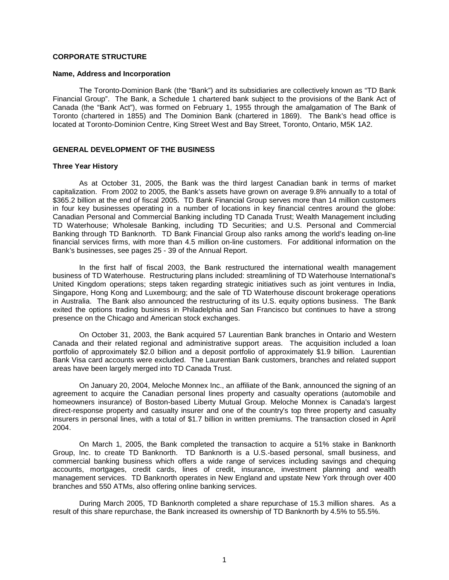# **CORPORATE STRUCTURE**

#### **Name, Address and Incorporation**

The Toronto-Dominion Bank (the "Bank") and its subsidiaries are collectively known as "TD Bank Financial Group". The Bank, a Schedule 1 chartered bank subject to the provisions of the Bank Act of Canada (the "Bank Act"), was formed on February 1, 1955 through the amalgamation of The Bank of Toronto (chartered in 1855) and The Dominion Bank (chartered in 1869). The Bank's head office is located at Toronto-Dominion Centre, King Street West and Bay Street, Toronto, Ontario, M5K 1A2.

## **GENERAL DEVELOPMENT OF THE BUSINESS**

#### **Three Year History**

As at October 31, 2005, the Bank was the third largest Canadian bank in terms of market capitalization. From 2002 to 2005, the Bank's assets have grown on average 9.8% annually to a total of \$365.2 billion at the end of fiscal 2005. TD Bank Financial Group serves more than 14 million customers in four key businesses operating in a number of locations in key financial centres around the globe: Canadian Personal and Commercial Banking including TD Canada Trust; Wealth Management including TD Waterhouse; Wholesale Banking, including TD Securities; and U.S. Personal and Commercial Banking through TD Banknorth. TD Bank Financial Group also ranks among the world's leading on-line financial services firms, with more than 4.5 million on-line customers. For additional information on the Bank's businesses, see pages 25 - 39 of the Annual Report.

In the first half of fiscal 2003, the Bank restructured the international wealth management business of TD Waterhouse. Restructuring plans included: streamlining of TD Waterhouse International's United Kingdom operations; steps taken regarding strategic initiatives such as joint ventures in India, Singapore, Hong Kong and Luxembourg; and the sale of TD Waterhouse discount brokerage operations in Australia. The Bank also announced the restructuring of its U.S. equity options business. The Bank exited the options trading business in Philadelphia and San Francisco but continues to have a strong presence on the Chicago and American stock exchanges.

On October 31, 2003, the Bank acquired 57 Laurentian Bank branches in Ontario and Western Canada and their related regional and administrative support areas. The acquisition included a loan portfolio of approximately \$2.0 billion and a deposit portfolio of approximately \$1.9 billion. Laurentian Bank Visa card accounts were excluded. The Laurentian Bank customers, branches and related support areas have been largely merged into TD Canada Trust.

On January 20, 2004, Meloche Monnex Inc., an affiliate of the Bank, announced the signing of an agreement to acquire the Canadian personal lines property and casualty operations (automobile and homeowners insurance) of Boston-based Liberty Mutual Group. Meloche Monnex is Canada's largest direct-response property and casualty insurer and one of the country's top three property and casualty insurers in personal lines, with a total of \$1.7 billion in written premiums. The transaction closed in April 2004.

On March 1, 2005, the Bank completed the transaction to acquire a 51% stake in Banknorth Group, Inc. to create TD Banknorth. TD Banknorth is a U.S.-based personal, small business, and commercial banking business which offers a wide range of services including savings and chequing accounts, mortgages, credit cards, lines of credit, insurance, investment planning and wealth management services. TD Banknorth operates in New England and upstate New York through over 400 branches and 550 ATMs, also offering online banking services.

During March 2005, TD Banknorth completed a share repurchase of 15.3 million shares. As a result of this share repurchase, the Bank increased its ownership of TD Banknorth by 4.5% to 55.5%.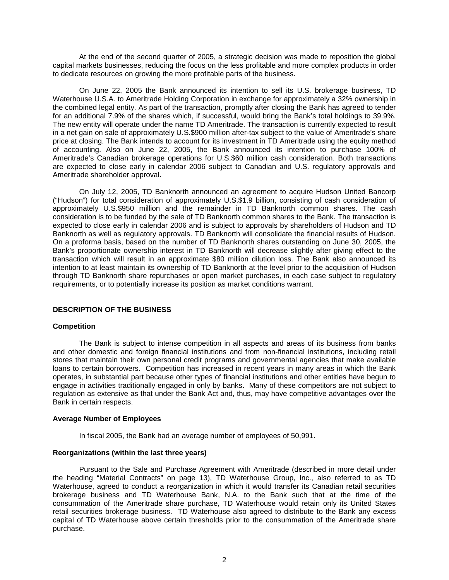At the end of the second quarter of 2005, a strategic decision was made to reposition the global capital markets businesses, reducing the focus on the less profitable and more complex products in order to dedicate resources on growing the more profitable parts of the business.

 On June 22, 2005 the Bank announced its intention to sell its U.S. brokerage business, TD Waterhouse U.S.A. to Ameritrade Holding Corporation in exchange for approximately a 32% ownership in the combined legal entity. As part of the transaction, promptly after closing the Bank has agreed to tender for an additional 7.9% of the shares which, if successful, would bring the Bank's total holdings to 39.9%. The new entity will operate under the name TD Ameritrade. The transaction is currently expected to result in a net gain on sale of approximately U.S.\$900 million after-tax subject to the value of Ameritrade's share price at closing. The Bank intends to account for its investment in TD Ameritrade using the equity method of accounting. Also on June 22, 2005, the Bank announced its intention to purchase 100% of Ameritrade's Canadian brokerage operations for U.S.\$60 million cash consideration. Both transactions are expected to close early in calendar 2006 subject to Canadian and U.S. regulatory approvals and Ameritrade shareholder approval.

On July 12, 2005, TD Banknorth announced an agreement to acquire Hudson United Bancorp ("Hudson") for total consideration of approximately U.S.\$1.9 billion, consisting of cash consideration of approximately U.S.\$950 million and the remainder in TD Banknorth common shares. The cash consideration is to be funded by the sale of TD Banknorth common shares to the Bank. The transaction is expected to close early in calendar 2006 and is subject to approvals by shareholders of Hudson and TD Banknorth as well as regulatory approvals. TD Banknorth will consolidate the financial results of Hudson. On a proforma basis, based on the number of TD Banknorth shares outstanding on June 30, 2005, the Bank's proportionate ownership interest in TD Banknorth will decrease slightly after giving effect to the transaction which will result in an approximate \$80 million dilution loss. The Bank also announced its intention to at least maintain its ownership of TD Banknorth at the level prior to the acquisition of Hudson through TD Banknorth share repurchases or open market purchases, in each case subject to regulatory requirements, or to potentially increase its position as market conditions warrant.

## **DESCRIPTION OF THE BUSINESS**

#### **Competition**

The Bank is subject to intense competition in all aspects and areas of its business from banks and other domestic and foreign financial institutions and from non-financial institutions, including retail stores that maintain their own personal credit programs and governmental agencies that make available loans to certain borrowers. Competition has increased in recent years in many areas in which the Bank operates, in substantial part because other types of financial institutions and other entities have begun to engage in activities traditionally engaged in only by banks. Many of these competitors are not subject to regulation as extensive as that under the Bank Act and, thus, may have competitive advantages over the Bank in certain respects.

#### **Average Number of Employees**

In fiscal 2005, the Bank had an average number of employees of 50,991.

#### **Reorganizations (within the last three years)**

Pursuant to the Sale and Purchase Agreement with Ameritrade (described in more detail under the heading "Material Contracts" on page 13), TD Waterhouse Group, Inc., also referred to as TD Waterhouse, agreed to conduct a reorganization in which it would transfer its Canadian retail securities brokerage business and TD Waterhouse Bank, N.A. to the Bank such that at the time of the consummation of the Ameritrade share purchase, TD Waterhouse would retain only its United States retail securities brokerage business. TD Waterhouse also agreed to distribute to the Bank any excess capital of TD Waterhouse above certain thresholds prior to the consummation of the Ameritrade share purchase.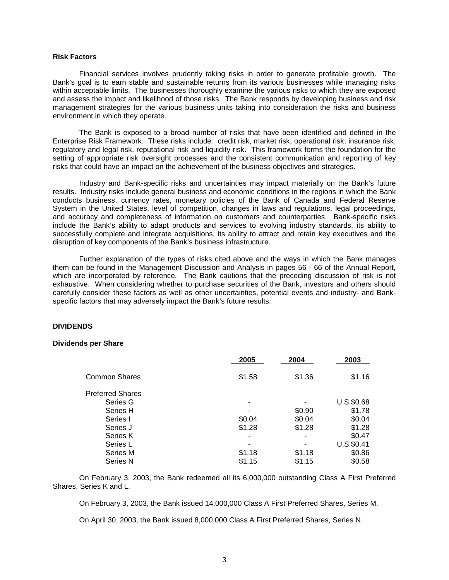#### **Risk Factors**

Financial services involves prudently taking risks in order to generate profitable growth. The Bank's goal is to earn stable and sustainable returns from its various businesses while managing risks within acceptable limits. The businesses thoroughly examine the various risks to which they are exposed and assess the impact and likelihood of those risks. The Bank responds by developing business and risk management strategies for the various business units taking into consideration the risks and business environment in which they operate.

The Bank is exposed to a broad number of risks that have been identified and defined in the Enterprise Risk Framework. These risks include: credit risk, market risk, operational risk, insurance risk, regulatory and legal risk, reputational risk and liquidity risk. This framework forms the foundation for the setting of appropriate risk oversight processes and the consistent communication and reporting of key risks that could have an impact on the achievement of the business objectives and strategies.

Industry and Bank-specific risks and uncertainties may impact materially on the Bank's future results. Industry risks include general business and economic conditions in the regions in which the Bank conducts business, currency rates, monetary policies of the Bank of Canada and Federal Reserve System in the United States, level of competition, changes in laws and regulations, legal proceedings, and accuracy and completeness of information on customers and counterparties. Bank-specific risks include the Bank's ability to adapt products and services to evolving industry standards, its ability to successfully complete and integrate acquisitions, its ability to attract and retain key executives and the disruption of key components of the Bank's business infrastructure.

Further explanation of the types of risks cited above and the ways in which the Bank manages them can be found in the Management Discussion and Analysis in pages 56 - 66 of the Annual Report, which are incorporated by reference. The Bank cautions that the preceding discussion of risk is not exhaustive. When considering whether to purchase securities of the Bank, investors and others should carefully consider these factors as well as other uncertainties, potential events and industry- and Bankspecific factors that may adversely impact the Bank's future results.

#### **DIVIDENDS**

#### **Dividends per Share**

|                         | 2005   | 2004   | 2003       |
|-------------------------|--------|--------|------------|
| Common Shares           | \$1.58 | \$1.36 | \$1.16     |
| <b>Preferred Shares</b> |        |        |            |
| Series G                |        |        | U.S.\$0.68 |
| Series H                |        | \$0.90 | \$1.78     |
| Series I                | \$0.04 | \$0.04 | \$0.04     |
| Series J                | \$1.28 | \$1.28 | \$1.28     |
| Series K                |        |        | \$0.47     |
| Series L                |        |        | U.S.\$0.41 |
| Series M                | \$1.18 | \$1.18 | \$0.86     |
| Series N                | \$1.15 | \$1.15 | \$0.58     |

On February 3, 2003, the Bank redeemed all its 6,000,000 outstanding Class A First Preferred Shares, Series K and L.

On February 3, 2003, the Bank issued 14,000,000 Class A First Preferred Shares, Series M.

On April 30, 2003, the Bank issued 8,000,000 Class A First Preferred Shares, Series N.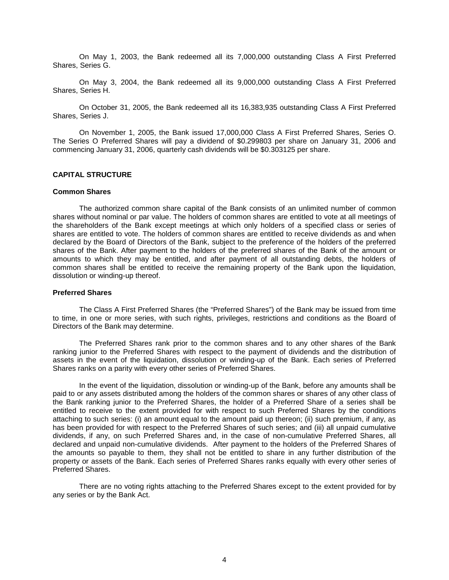On May 1, 2003, the Bank redeemed all its 7,000,000 outstanding Class A First Preferred Shares, Series G.

On May 3, 2004, the Bank redeemed all its 9,000,000 outstanding Class A First Preferred Shares, Series H.

On October 31, 2005, the Bank redeemed all its 16,383,935 outstanding Class A First Preferred Shares, Series J.

On November 1, 2005, the Bank issued 17,000,000 Class A First Preferred Shares, Series O. The Series O Preferred Shares will pay a dividend of \$0.299803 per share on January 31, 2006 and commencing January 31, 2006, quarterly cash dividends will be \$0.303125 per share.

# **CAPITAL STRUCTURE**

# **Common Shares**

The authorized common share capital of the Bank consists of an unlimited number of common shares without nominal or par value. The holders of common shares are entitled to vote at all meetings of the shareholders of the Bank except meetings at which only holders of a specified class or series of shares are entitled to vote. The holders of common shares are entitled to receive dividends as and when declared by the Board of Directors of the Bank, subject to the preference of the holders of the preferred shares of the Bank. After payment to the holders of the preferred shares of the Bank of the amount or amounts to which they may be entitled, and after payment of all outstanding debts, the holders of common shares shall be entitled to receive the remaining property of the Bank upon the liquidation, dissolution or winding-up thereof.

#### **Preferred Shares**

The Class A First Preferred Shares (the "Preferred Shares") of the Bank may be issued from time to time, in one or more series, with such rights, privileges, restrictions and conditions as the Board of Directors of the Bank may determine.

The Preferred Shares rank prior to the common shares and to any other shares of the Bank ranking junior to the Preferred Shares with respect to the payment of dividends and the distribution of assets in the event of the liquidation, dissolution or winding-up of the Bank. Each series of Preferred Shares ranks on a parity with every other series of Preferred Shares.

In the event of the liquidation, dissolution or winding-up of the Bank, before any amounts shall be paid to or any assets distributed among the holders of the common shares or shares of any other class of the Bank ranking junior to the Preferred Shares, the holder of a Preferred Share of a series shall be entitled to receive to the extent provided for with respect to such Preferred Shares by the conditions attaching to such series: (i) an amount equal to the amount paid up thereon; (ii) such premium, if any, as has been provided for with respect to the Preferred Shares of such series; and (iii) all unpaid cumulative dividends, if any, on such Preferred Shares and, in the case of non-cumulative Preferred Shares, all declared and unpaid non-cumulative dividends. After payment to the holders of the Preferred Shares of the amounts so payable to them, they shall not be entitled to share in any further distribution of the property or assets of the Bank. Each series of Preferred Shares ranks equally with every other series of Preferred Shares.

There are no voting rights attaching to the Preferred Shares except to the extent provided for by any series or by the Bank Act.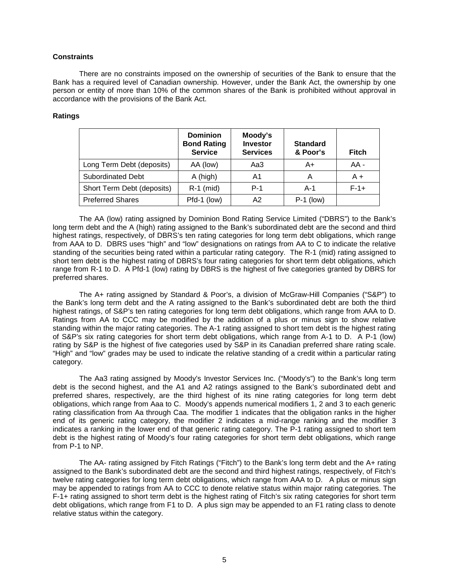# **Constraints**

There are no constraints imposed on the ownership of securities of the Bank to ensure that the Bank has a required level of Canadian ownership. However, under the Bank Act, the ownership by one person or entity of more than 10% of the common shares of the Bank is prohibited without approval in accordance with the provisions of the Bank Act.

## **Ratings**

|                            | <b>Dominion</b><br><b>Bond Rating</b><br><b>Service</b> | Moody's<br><b>Investor</b><br><b>Services</b> | <b>Standard</b><br>& Poor's | <b>Fitch</b> |
|----------------------------|---------------------------------------------------------|-----------------------------------------------|-----------------------------|--------------|
| Long Term Debt (deposits)  | AA (low)                                                | Aa3                                           | A+                          | $AA -$       |
| <b>Subordinated Debt</b>   | A (high)                                                | A1                                            | Α                           | $A +$        |
| Short Term Debt (deposits) | $R-1$ (mid)                                             | $P-1$                                         | $A-1$                       | $F-1+$       |
| <b>Preferred Shares</b>    | Pfd-1 (low)                                             | A <sub>2</sub>                                | $P-1$ (low)                 |              |

The AA (low) rating assigned by Dominion Bond Rating Service Limited ("DBRS") to the Bank's long term debt and the A (high) rating assigned to the Bank's subordinated debt are the second and third highest ratings, respectively, of DBRS's ten rating categories for long term debt obligations, which range from AAA to D. DBRS uses "high" and "low" designations on ratings from AA to C to indicate the relative standing of the securities being rated within a particular rating category. The R-1 (mid) rating assigned to short tem debt is the highest rating of DBRS's four rating categories for short term debt obligations, which range from R-1 to D. A Pfd-1 (low) rating by DBRS is the highest of five categories granted by DBRS for preferred shares.

The A+ rating assigned by Standard & Poor's, a division of McGraw-Hill Companies ("S&P") to the Bank's long term debt and the A rating assigned to the Bank's subordinated debt are both the third highest ratings, of S&P's ten rating categories for long term debt obligations, which range from AAA to D. Ratings from AA to CCC may be modified by the addition of a plus or minus sign to show relative standing within the major rating categories. The A-1 rating assigned to short tem debt is the highest rating of S&P's six rating categories for short term debt obligations, which range from A-1 to D. A P-1 (low) rating by S&P is the highest of five categories used by S&P in its Canadian preferred share rating scale. "High" and "low" grades may be used to indicate the relative standing of a credit within a particular rating category.

The Aa3 rating assigned by Moody's Investor Services Inc. ("Moody's") to the Bank's long term debt is the second highest, and the A1 and A2 ratings assigned to the Bank's subordinated debt and preferred shares, respectively, are the third highest of its nine rating categories for long term debt obligations, which range from Aaa to C. Moody's appends numerical modifiers 1, 2 and 3 to each generic rating classification from Aa through Caa. The modifier 1 indicates that the obligation ranks in the higher end of its generic rating category, the modifier 2 indicates a mid-range ranking and the modifier 3 indicates a ranking in the lower end of that generic rating category. The P-1 rating assigned to short tem debt is the highest rating of Moody's four rating categories for short term debt obligations, which range from P-1 to NP.

The AA- rating assigned by Fitch Ratings ("Fitch") to the Bank's long term debt and the A+ rating assigned to the Bank's subordinated debt are the second and third highest ratings, respectively, of Fitch's twelve rating categories for long term debt obligations, which range from AAA to D. A plus or minus sign may be appended to ratings from AA to CCC to denote relative status within major rating categories. The F-1+ rating assigned to short term debt is the highest rating of Fitch's six rating categories for short term debt obligations, which range from F1 to D. A plus sign may be appended to an F1 rating class to denote relative status within the category.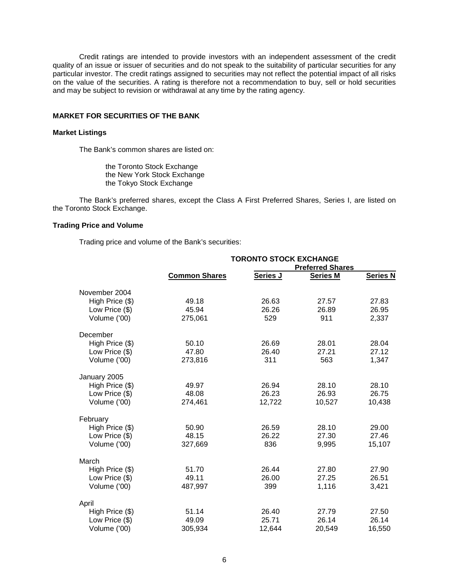Credit ratings are intended to provide investors with an independent assessment of the credit quality of an issue or issuer of securities and do not speak to the suitability of particular securities for any particular investor. The credit ratings assigned to securities may not reflect the potential impact of all risks on the value of the securities. A rating is therefore not a recommendation to buy, sell or hold securities and may be subject to revision or withdrawal at any time by the rating agency.

#### **MARKET FOR SECURITIES OF THE BANK**

# **Market Listings**

The Bank's common shares are listed on:

the Toronto Stock Exchange the New York Stock Exchange the Tokyo Stock Exchange

The Bank's preferred shares, except the Class A First Preferred Shares, Series I, are listed on the Toronto Stock Exchange.

# **Trading Price and Volume**

Trading price and volume of the Bank's securities:

|                 | <b>TORONTO STOCK EXCHANGE</b><br><b>Preferred Shares</b> |          |                 |                 |
|-----------------|----------------------------------------------------------|----------|-----------------|-----------------|
|                 | <b>Common Shares</b>                                     | Series J | <b>Series M</b> | <b>Series N</b> |
| November 2004   |                                                          |          |                 |                 |
| High Price (\$) | 49.18                                                    | 26.63    | 27.57           | 27.83           |
| Low Price (\$)  | 45.94                                                    | 26.26    | 26.89           | 26.95           |
| Volume ('00)    | 275,061                                                  | 529      | 911             | 2,337           |
| December        |                                                          |          |                 |                 |
| High Price (\$) | 50.10                                                    | 26.69    | 28.01           | 28.04           |
| Low Price (\$)  | 47.80                                                    | 26.40    | 27.21           | 27.12           |
| Volume ('00)    | 273,816                                                  | 311      | 563             | 1,347           |
| January 2005    |                                                          |          |                 |                 |
| High Price (\$) | 49.97                                                    | 26.94    | 28.10           | 28.10           |
| Low Price (\$)  | 48.08                                                    | 26.23    | 26.93           | 26.75           |
| Volume ('00)    | 274,461                                                  | 12,722   | 10,527          | 10,438          |
| February        |                                                          |          |                 |                 |
| High Price (\$) | 50.90                                                    | 26.59    | 28.10           | 29.00           |
| Low Price (\$)  | 48.15                                                    | 26.22    | 27.30           | 27.46           |
| Volume ('00)    | 327,669                                                  | 836      | 9,995           | 15,107          |
| March           |                                                          |          |                 |                 |
| High Price (\$) | 51.70                                                    | 26.44    | 27.80           | 27.90           |
| Low Price (\$)  | 49.11                                                    | 26.00    | 27.25           | 26.51           |
| Volume ('00)    | 487,997                                                  | 399      | 1,116           | 3,421           |
| April           |                                                          |          |                 |                 |
| High Price (\$) | 51.14                                                    | 26.40    | 27.79           | 27.50           |
| Low Price (\$)  | 49.09                                                    | 25.71    | 26.14           | 26.14           |
| Volume ('00)    | 305,934                                                  | 12,644   | 20,549          | 16,550          |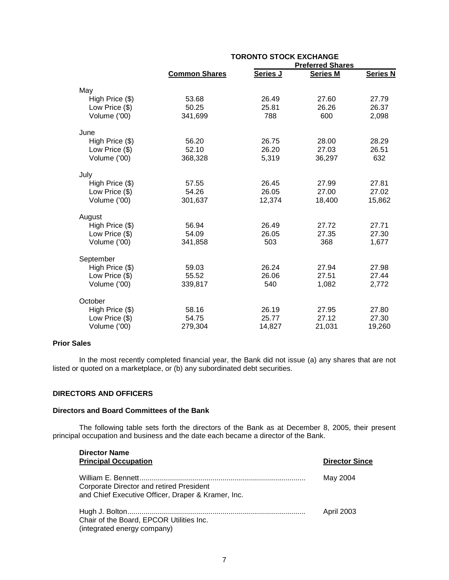|                 | <b>TORONTO STOCK EXCHANGE</b> |          |                 |                 |
|-----------------|-------------------------------|----------|-----------------|-----------------|
|                 | <b>Preferred Shares</b>       |          |                 |                 |
|                 | <b>Common Shares</b>          | Series J | <b>Series M</b> | <b>Series N</b> |
| May             |                               |          |                 |                 |
| High Price (\$) | 53.68                         | 26.49    | 27.60           | 27.79           |
| Low Price (\$)  | 50.25                         | 25.81    | 26.26           | 26.37           |
| Volume ('00)    | 341,699                       | 788      | 600             | 2,098           |
| June            |                               |          |                 |                 |
| High Price (\$) | 56.20                         | 26.75    | 28.00           | 28.29           |
| Low Price (\$)  | 52.10                         | 26.20    | 27.03           | 26.51           |
| Volume ('00)    | 368,328                       | 5,319    | 36,297          | 632             |
| July            |                               |          |                 |                 |
| High Price (\$) | 57.55                         | 26.45    | 27.99           | 27.81           |
| Low Price (\$)  | 54.26                         | 26.05    | 27.00           | 27.02           |
| Volume ('00)    | 301,637                       | 12,374   | 18,400          | 15,862          |
| August          |                               |          |                 |                 |
| High Price (\$) | 56.94                         | 26.49    | 27.72           | 27.71           |
| Low Price (\$)  | 54.09                         | 26.05    | 27.35           | 27.30           |
| Volume ('00)    | 341,858                       | 503      | 368             | 1,677           |
| September       |                               |          |                 |                 |
| High Price (\$) | 59.03                         | 26.24    | 27.94           | 27.98           |
| Low Price (\$)  | 55.52                         | 26.06    | 27.51           | 27.44           |
| Volume ('00)    | 339,817                       | 540      | 1,082           | 2,772           |
| October         |                               |          |                 |                 |
| High Price (\$) | 58.16                         | 26.19    | 27.95           | 27.80           |
| Low Price (\$)  | 54.75                         | 25.77    | 27.12           | 27.30           |
| Volume ('00)    | 279,304                       | 14,827   | 21,031          | 19,260          |
|                 |                               |          |                 |                 |

# **Prior Sales**

In the most recently completed financial year, the Bank did not issue (a) any shares that are not listed or quoted on a marketplace, or (b) any subordinated debt securities.

#### **DIRECTORS AND OFFICERS**

## **Directors and Board Committees of the Bank**

The following table sets forth the directors of the Bank as at December 8, 2005, their present principal occupation and business and the date each became a director of the Bank.

| <b>Director Name</b><br><b>Principal Occupation</b>                                            | <b>Director Since</b> |
|------------------------------------------------------------------------------------------------|-----------------------|
| Corporate Director and retired President<br>and Chief Executive Officer, Draper & Kramer, Inc. | May 2004              |
| Chair of the Board, EPCOR Utilities Inc.<br>(integrated energy company)                        | April 2003            |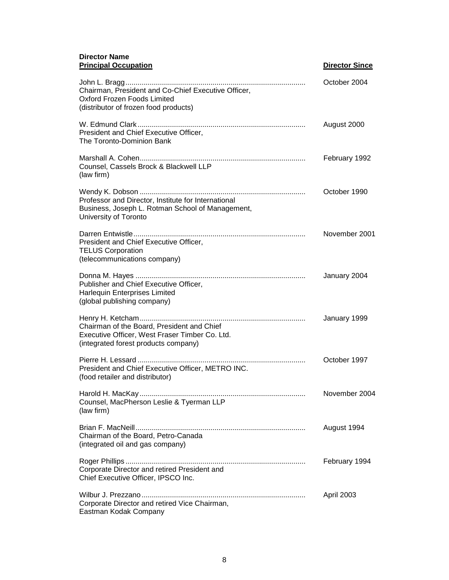## **Director Name Principal Occupation Director Since Director Since**

| $\cdots$                                                                                                                             |               |
|--------------------------------------------------------------------------------------------------------------------------------------|---------------|
| Chairman, President and Co-Chief Executive Officer,<br>Oxford Frozen Foods Limited<br>(distributor of frozen food products)          | October 2004  |
| President and Chief Executive Officer,<br>The Toronto-Dominion Bank                                                                  | August 2000   |
| Counsel, Cassels Brock & Blackwell LLP<br>(law firm)                                                                                 | February 1992 |
| Professor and Director, Institute for International<br>Business, Joseph L. Rotman School of Management,<br>University of Toronto     | October 1990  |
| President and Chief Executive Officer,<br><b>TELUS Corporation</b><br>(telecommunications company)                                   | November 2001 |
| Publisher and Chief Executive Officer,<br>Harlequin Enterprises Limited<br>(global publishing company)                               | January 2004  |
| Chairman of the Board, President and Chief<br>Executive Officer, West Fraser Timber Co. Ltd.<br>(integrated forest products company) | January 1999  |
| President and Chief Executive Officer, METRO INC.<br>(food retailer and distributor)                                                 | October 1997  |
| Counsel, MacPherson Leslie & Tyerman LLP<br>(law firm)                                                                               | November 2004 |
| Chairman of the Board, Petro-Canada<br>(integrated oil and gas company)                                                              | August 1994   |
| Corporate Director and retired President and<br>Chief Executive Officer, IPSCO Inc.                                                  | February 1994 |
| Corporate Director and retired Vice Chairman,<br>Eastman Kodak Company                                                               | April 2003    |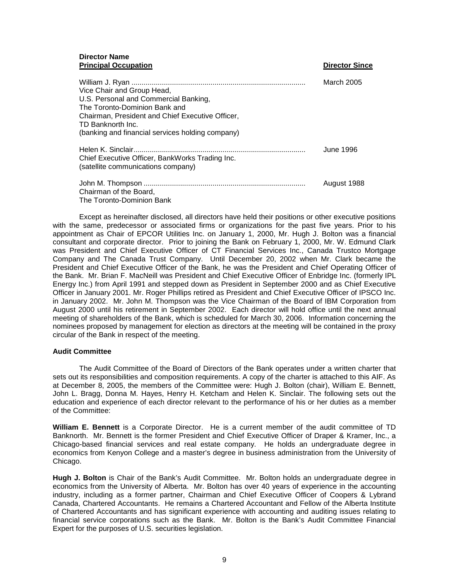# **Director Name Principal Occupation Director Since Since 2018**

| Vice Chair and Group Head,<br>U.S. Personal and Commercial Banking,<br>The Toronto-Dominion Bank and<br>Chairman, President and Chief Executive Officer,<br>TD Banknorth Inc.<br>(banking and financial services holding company) | March 2005  |
|-----------------------------------------------------------------------------------------------------------------------------------------------------------------------------------------------------------------------------------|-------------|
| Chief Executive Officer, BankWorks Trading Inc.<br>(satellite communications company)                                                                                                                                             | June 1996   |
| Chairman of the Board,<br>The Toronto-Dominion Bank                                                                                                                                                                               | August 1988 |

Except as hereinafter disclosed, all directors have held their positions or other executive positions with the same, predecessor or associated firms or organizations for the past five years. Prior to his appointment as Chair of EPCOR Utilities Inc. on January 1, 2000, Mr. Hugh J. Bolton was a financial consultant and corporate director. Prior to joining the Bank on February 1, 2000, Mr. W. Edmund Clark was President and Chief Executive Officer of CT Financial Services Inc., Canada Trustco Mortgage Company and The Canada Trust Company. Until December 20, 2002 when Mr. Clark became the President and Chief Executive Officer of the Bank, he was the President and Chief Operating Officer of the Bank. Mr. Brian F. MacNeill was President and Chief Executive Officer of Enbridge Inc. (formerly IPL Energy Inc.) from April 1991 and stepped down as President in September 2000 and as Chief Executive Officer in January 2001. Mr. Roger Phillips retired as President and Chief Executive Officer of IPSCO Inc. in January 2002. Mr. John M. Thompson was the Vice Chairman of the Board of IBM Corporation from August 2000 until his retirement in September 2002. Each director will hold office until the next annual meeting of shareholders of the Bank, which is scheduled for March 30, 2006. Information concerning the nominees proposed by management for election as directors at the meeting will be contained in the proxy circular of the Bank in respect of the meeting.

## **Audit Committee**

The Audit Committee of the Board of Directors of the Bank operates under a written charter that sets out its responsibilities and composition requirements. A copy of the charter is attached to this AIF. As at December 8, 2005, the members of the Committee were: Hugh J. Bolton (chair), William E. Bennett, John L. Bragg, Donna M. Hayes, Henry H. Ketcham and Helen K. Sinclair. The following sets out the education and experience of each director relevant to the performance of his or her duties as a member of the Committee:

**William E. Bennett** is a Corporate Director. He is a current member of the audit committee of TD Banknorth. Mr. Bennett is the former President and Chief Executive Officer of Draper & Kramer, Inc., a Chicago-based financial services and real estate company. He holds an undergraduate degree in economics from Kenyon College and a master's degree in business administration from the University of Chicago.

**Hugh J. Bolton** is Chair of the Bank's Audit Committee. Mr. Bolton holds an undergraduate degree in economics from the University of Alberta. Mr. Bolton has over 40 years of experience in the accounting industry, including as a former partner, Chairman and Chief Executive Officer of Coopers & Lybrand Canada, Chartered Accountants. He remains a Chartered Accountant and Fellow of the Alberta Institute of Chartered Accountants and has significant experience with accounting and auditing issues relating to financial service corporations such as the Bank. Mr. Bolton is the Bank's Audit Committee Financial Expert for the purposes of U.S. securities legislation.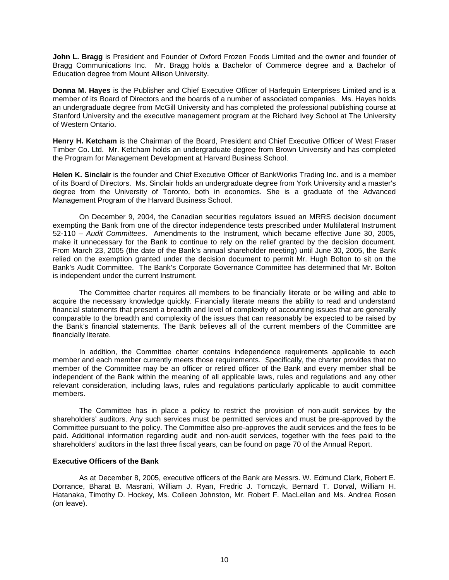**John L. Bragg** is President and Founder of Oxford Frozen Foods Limited and the owner and founder of Bragg Communications Inc. Mr. Bragg holds a Bachelor of Commerce degree and a Bachelor of Education degree from Mount Allison University.

**Donna M. Hayes** is the Publisher and Chief Executive Officer of Harlequin Enterprises Limited and is a member of its Board of Directors and the boards of a number of associated companies. Ms. Hayes holds an undergraduate degree from McGill University and has completed the professional publishing course at Stanford University and the executive management program at the Richard Ivey School at The University of Western Ontario.

**Henry H. Ketcham** is the Chairman of the Board, President and Chief Executive Officer of West Fraser Timber Co. Ltd. Mr. Ketcham holds an undergraduate degree from Brown University and has completed the Program for Management Development at Harvard Business School.

**Helen K. Sinclair** is the founder and Chief Executive Officer of BankWorks Trading Inc. and is a member of its Board of Directors. Ms. Sinclair holds an undergraduate degree from York University and a master's degree from the University of Toronto, both in economics. She is a graduate of the Advanced Management Program of the Harvard Business School.

 On December 9, 2004, the Canadian securities regulators issued an MRRS decision document exempting the Bank from one of the director independence tests prescribed under Multilateral Instrument 52-110 – *Audit Committees*. Amendments to the Instrument, which became effective June 30, 2005, make it unnecessary for the Bank to continue to rely on the relief granted by the decision document. From March 23, 2005 (the date of the Bank's annual shareholder meeting) until June 30, 2005, the Bank relied on the exemption granted under the decision document to permit Mr. Hugh Bolton to sit on the Bank's Audit Committee. The Bank's Corporate Governance Committee has determined that Mr. Bolton is independent under the current Instrument.

The Committee charter requires all members to be financially literate or be willing and able to acquire the necessary knowledge quickly. Financially literate means the ability to read and understand financial statements that present a breadth and level of complexity of accounting issues that are generally comparable to the breadth and complexity of the issues that can reasonably be expected to be raised by the Bank's financial statements. The Bank believes all of the current members of the Committee are financially literate.

In addition, the Committee charter contains independence requirements applicable to each member and each member currently meets those requirements. Specifically, the charter provides that no member of the Committee may be an officer or retired officer of the Bank and every member shall be independent of the Bank within the meaning of all applicable laws, rules and regulations and any other relevant consideration, including laws, rules and regulations particularly applicable to audit committee members.

The Committee has in place a policy to restrict the provision of non-audit services by the shareholders' auditors. Any such services must be permitted services and must be pre-approved by the Committee pursuant to the policy. The Committee also pre-approves the audit services and the fees to be paid. Additional information regarding audit and non-audit services, together with the fees paid to the shareholders' auditors in the last three fiscal years, can be found on page 70 of the Annual Report.

#### **Executive Officers of the Bank**

As at December 8, 2005, executive officers of the Bank are Messrs. W. Edmund Clark, Robert E. Dorrance, Bharat B. Masrani, William J. Ryan, Fredric J. Tomczyk, Bernard T. Dorval, William H. Hatanaka, Timothy D. Hockey, Ms. Colleen Johnston, Mr. Robert F. MacLellan and Ms. Andrea Rosen (on leave).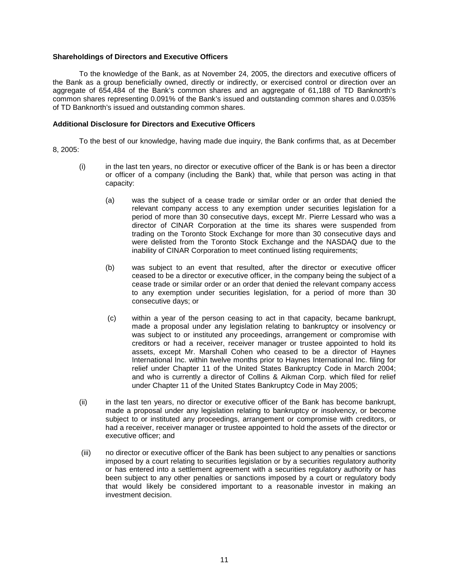## **Shareholdings of Directors and Executive Officers**

To the knowledge of the Bank, as at November 24, 2005, the directors and executive officers of the Bank as a group beneficially owned, directly or indirectly, or exercised control or direction over an aggregate of 654,484 of the Bank's common shares and an aggregate of 61,188 of TD Banknorth's common shares representing 0.091% of the Bank's issued and outstanding common shares and 0.035% of TD Banknorth's issued and outstanding common shares.

#### **Additional Disclosure for Directors and Executive Officers**

To the best of our knowledge, having made due inquiry, the Bank confirms that, as at December 8, 2005:

- (i) in the last ten years, no director or executive officer of the Bank is or has been a director or officer of a company (including the Bank) that, while that person was acting in that capacity:
	- (a) was the subject of a cease trade or similar order or an order that denied the relevant company access to any exemption under securities legislation for a period of more than 30 consecutive days, except Mr. Pierre Lessard who was a director of CINAR Corporation at the time its shares were suspended from trading on the Toronto Stock Exchange for more than 30 consecutive days and were delisted from the Toronto Stock Exchange and the NASDAQ due to the inability of CINAR Corporation to meet continued listing requirements;
	- (b) was subject to an event that resulted, after the director or executive officer ceased to be a director or executive officer, in the company being the subject of a cease trade or similar order or an order that denied the relevant company access to any exemption under securities legislation, for a period of more than 30 consecutive days; or
	- (c) within a year of the person ceasing to act in that capacity, became bankrupt, made a proposal under any legislation relating to bankruptcy or insolvency or was subject to or instituted any proceedings, arrangement or compromise with creditors or had a receiver, receiver manager or trustee appointed to hold its assets, except Mr. Marshall Cohen who ceased to be a director of Haynes International Inc. within twelve months prior to Haynes International Inc. filing for relief under Chapter 11 of the United States Bankruptcy Code in March 2004; and who is currently a director of Collins & Aikman Corp. which filed for relief under Chapter 11 of the United States Bankruptcy Code in May 2005;
- (ii) in the last ten years, no director or executive officer of the Bank has become bankrupt, made a proposal under any legislation relating to bankruptcy or insolvency, or become subject to or instituted any proceedings, arrangement or compromise with creditors, or had a receiver, receiver manager or trustee appointed to hold the assets of the director or executive officer; and
- (iii) no director or executive officer of the Bank has been subject to any penalties or sanctions imposed by a court relating to securities legislation or by a securities regulatory authority or has entered into a settlement agreement with a securities regulatory authority or has been subject to any other penalties or sanctions imposed by a court or regulatory body that would likely be considered important to a reasonable investor in making an investment decision.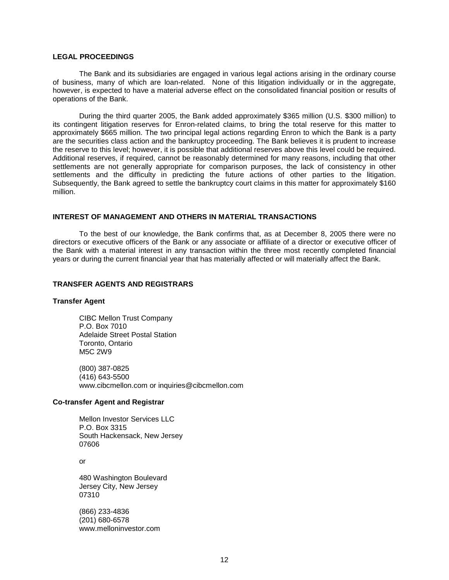## **LEGAL PROCEEDINGS**

The Bank and its subsidiaries are engaged in various legal actions arising in the ordinary course of business, many of which are loan-related. None of this litigation individually or in the aggregate, however, is expected to have a material adverse effect on the consolidated financial position or results of operations of the Bank.

During the third quarter 2005, the Bank added approximately \$365 million (U.S. \$300 million) to its contingent litigation reserves for Enron-related claims, to bring the total reserve for this matter to approximately \$665 million. The two principal legal actions regarding Enron to which the Bank is a party are the securities class action and the bankruptcy proceeding. The Bank believes it is prudent to increase the reserve to this level; however, it is possible that additional reserves above this level could be required. Additional reserves, if required, cannot be reasonably determined for many reasons, including that other settlements are not generally appropriate for comparison purposes, the lack of consistency in other settlements and the difficulty in predicting the future actions of other parties to the litigation. Subsequently, the Bank agreed to settle the bankruptcy court claims in this matter for approximately \$160 million.

## **INTEREST OF MANAGEMENT AND OTHERS IN MATERIAL TRANSACTIONS**

To the best of our knowledge, the Bank confirms that, as at December 8, 2005 there were no directors or executive officers of the Bank or any associate or affiliate of a director or executive officer of the Bank with a material interest in any transaction within the three most recently completed financial years or during the current financial year that has materially affected or will materially affect the Bank.

#### **TRANSFER AGENTS AND REGISTRARS**

#### **Transfer Agent**

CIBC Mellon Trust Company P.O. Box 7010 Adelaide Street Postal Station Toronto, Ontario M5C 2W9

(800) 387-0825 (416) 643-5500 www.cibcmellon.com or inquiries@cibcmellon.com

#### **Co-transfer Agent and Registrar**

Mellon Investor Services LLC P.O. Box 3315 South Hackensack, New Jersey 07606

or

480 Washington Boulevard Jersey City, New Jersey 07310

(866) 233-4836 (201) 680-6578 www.melloninvestor.com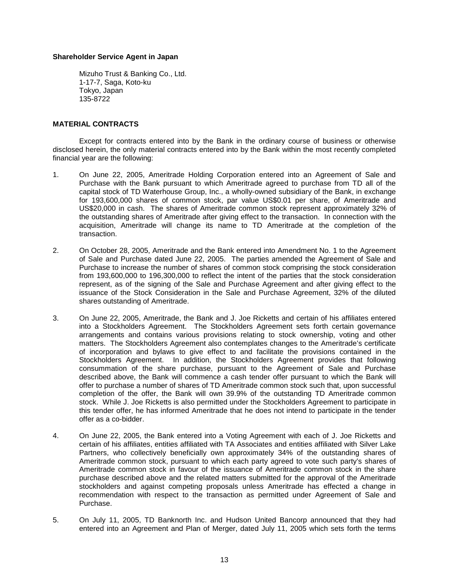## **Shareholder Service Agent in Japan**

Mizuho Trust & Banking Co., Ltd. 1-17-7, Saga, Koto-ku Tokyo, Japan 135-8722

## **MATERIAL CONTRACTS**

Except for contracts entered into by the Bank in the ordinary course of business or otherwise disclosed herein, the only material contracts entered into by the Bank within the most recently completed financial year are the following:

- 1. On June 22, 2005, Ameritrade Holding Corporation entered into an Agreement of Sale and Purchase with the Bank pursuant to which Ameritrade agreed to purchase from TD all of the capital stock of TD Waterhouse Group, Inc., a wholly-owned subsidiary of the Bank, in exchange for 193,600,000 shares of common stock, par value US\$0.01 per share, of Ameritrade and US\$20,000 in cash. The shares of Ameritrade common stock represent approximately 32% of the outstanding shares of Ameritrade after giving effect to the transaction. In connection with the acquisition, Ameritrade will change its name to TD Ameritrade at the completion of the transaction.
- 2. On October 28, 2005, Ameritrade and the Bank entered into Amendment No. 1 to the Agreement of Sale and Purchase dated June 22, 2005. The parties amended the Agreement of Sale and Purchase to increase the number of shares of common stock comprising the stock consideration from 193,600,000 to 196,300,000 to reflect the intent of the parties that the stock consideration represent, as of the signing of the Sale and Purchase Agreement and after giving effect to the issuance of the Stock Consideration in the Sale and Purchase Agreement, 32% of the diluted shares outstanding of Ameritrade.
- 3. On June 22, 2005, Ameritrade, the Bank and J. Joe Ricketts and certain of his affiliates entered into a Stockholders Agreement. The Stockholders Agreement sets forth certain governance arrangements and contains various provisions relating to stock ownership, voting and other matters. The Stockholders Agreement also contemplates changes to the Ameritrade's certificate of incorporation and bylaws to give effect to and facilitate the provisions contained in the Stockholders Agreement. In addition, the Stockholders Agreement provides that following consummation of the share purchase, pursuant to the Agreement of Sale and Purchase described above, the Bank will commence a cash tender offer pursuant to which the Bank will offer to purchase a number of shares of TD Ameritrade common stock such that, upon successful completion of the offer, the Bank will own 39.9% of the outstanding TD Ameritrade common stock. While J. Joe Ricketts is also permitted under the Stockholders Agreement to participate in this tender offer, he has informed Ameritrade that he does not intend to participate in the tender offer as a co-bidder.
- 4. On June 22, 2005, the Bank entered into a Voting Agreement with each of J. Joe Ricketts and certain of his affiliates, entities affiliated with TA Associates and entities affiliated with Silver Lake Partners, who collectively beneficially own approximately 34% of the outstanding shares of Ameritrade common stock, pursuant to which each party agreed to vote such party's shares of Ameritrade common stock in favour of the issuance of Ameritrade common stock in the share purchase described above and the related matters submitted for the approval of the Ameritrade stockholders and against competing proposals unless Ameritrade has effected a change in recommendation with respect to the transaction as permitted under Agreement of Sale and Purchase.
- 5. On July 11, 2005, TD Banknorth Inc. and Hudson United Bancorp announced that they had entered into an Agreement and Plan of Merger, dated July 11, 2005 which sets forth the terms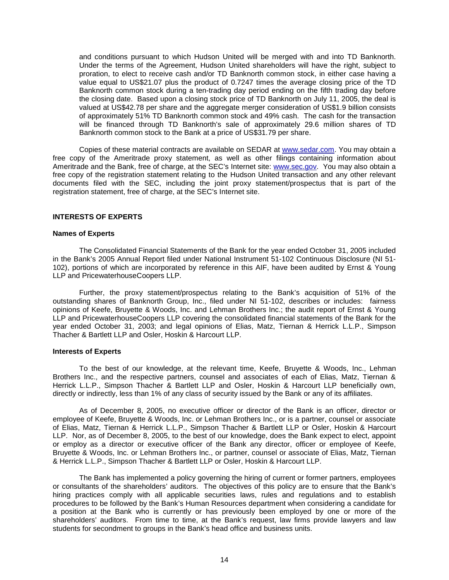and conditions pursuant to which Hudson United will be merged with and into TD Banknorth. Under the terms of the Agreement, Hudson United shareholders will have the right, subject to proration, to elect to receive cash and/or TD Banknorth common stock, in either case having a value equal to US\$21.07 plus the product of 0.7247 times the average closing price of the TD Banknorth common stock during a ten-trading day period ending on the fifth trading day before the closing date. Based upon a closing stock price of TD Banknorth on July 11, 2005, the deal is valued at US\$42.78 per share and the aggregate merger consideration of US\$1.9 billion consists of approximately 51% TD Banknorth common stock and 49% cash. The cash for the transaction will be financed through TD Banknorth's sale of approximately 29.6 million shares of TD Banknorth common stock to the Bank at a price of US\$31.79 per share.

Copies of these material contracts are available on SEDAR at www.sedar.com. You may obtain a free copy of the Ameritrade proxy statement, as well as other filings containing information about Ameritrade and the Bank, free of charge, at the SEC's Internet site: www.sec.gov. You may also obtain a free copy of the registration statement relating to the Hudson United transaction and any other relevant documents filed with the SEC, including the joint proxy statement/prospectus that is part of the registration statement, free of charge, at the SEC's Internet site.

## **INTERESTS OF EXPERTS**

#### **Names of Experts**

The Consolidated Financial Statements of the Bank for the year ended October 31, 2005 included in the Bank's 2005 Annual Report filed under National Instrument 51-102 Continuous Disclosure (NI 51- 102), portions of which are incorporated by reference in this AIF, have been audited by Ernst & Young LLP and PricewaterhouseCoopers LLP.

Further, the proxy statement/prospectus relating to the Bank's acquisition of 51% of the outstanding shares of Banknorth Group, Inc., filed under NI 51-102, describes or includes: fairness opinions of Keefe, Bruyette & Woods, Inc. and Lehman Brothers Inc.; the audit report of Ernst & Young LLP and PricewaterhouseCoopers LLP covering the consolidated financial statements of the Bank for the year ended October 31, 2003; and legal opinions of Elias, Matz, Tiernan & Herrick L.L.P., Simpson Thacher & Bartlett LLP and Osler, Hoskin & Harcourt LLP.

# **Interests of Experts**

To the best of our knowledge, at the relevant time, Keefe, Bruyette & Woods, Inc., Lehman Brothers Inc., and the respective partners, counsel and associates of each of Elias, Matz, Tiernan & Herrick L.L.P., Simpson Thacher & Bartlett LLP and Osler, Hoskin & Harcourt LLP beneficially own, directly or indirectly, less than 1% of any class of security issued by the Bank or any of its affiliates.

As of December 8, 2005, no executive officer or director of the Bank is an officer, director or employee of Keefe, Bruyette & Woods, Inc. or Lehman Brothers Inc., or is a partner, counsel or associate of Elias, Matz, Tiernan & Herrick L.L.P., Simpson Thacher & Bartlett LLP or Osler, Hoskin & Harcourt LLP. Nor, as of December 8, 2005, to the best of our knowledge, does the Bank expect to elect, appoint or employ as a director or executive officer of the Bank any director, officer or employee of Keefe, Bruyette & Woods, Inc. or Lehman Brothers Inc., or partner, counsel or associate of Elias, Matz, Tiernan & Herrick L.L.P., Simpson Thacher & Bartlett LLP or Osler, Hoskin & Harcourt LLP.

The Bank has implemented a policy governing the hiring of current or former partners, employees or consultants of the shareholders' auditors. The objectives of this policy are to ensure that the Bank's hiring practices comply with all applicable securities laws, rules and regulations and to establish procedures to be followed by the Bank's Human Resources department when considering a candidate for a position at the Bank who is currently or has previously been employed by one or more of the shareholders' auditors. From time to time, at the Bank's request, law firms provide lawyers and law students for secondment to groups in the Bank's head office and business units.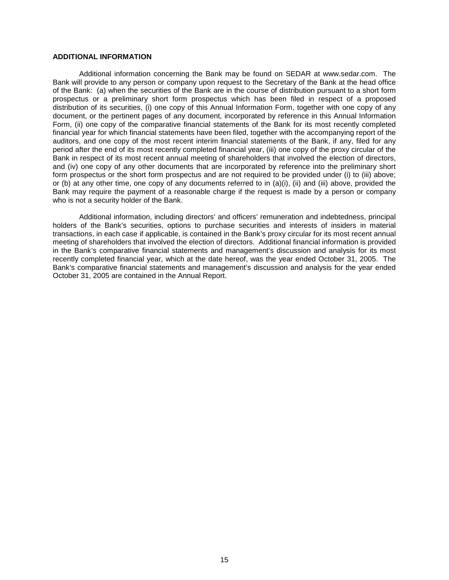# **ADDITIONAL INFORMATION**

Additional information concerning the Bank may be found on SEDAR at www.sedar.com. The Bank will provide to any person or company upon request to the Secretary of the Bank at the head office of the Bank: (a) when the securities of the Bank are in the course of distribution pursuant to a short form prospectus or a preliminary short form prospectus which has been filed in respect of a proposed distribution of its securities, (i) one copy of this Annual Information Form, together with one copy of any document, or the pertinent pages of any document, incorporated by reference in this Annual Information Form, (ii) one copy of the comparative financial statements of the Bank for its most recently completed financial year for which financial statements have been filed, together with the accompanying report of the auditors, and one copy of the most recent interim financial statements of the Bank, if any, filed for any period after the end of its most recently completed financial year, (iii) one copy of the proxy circular of the Bank in respect of its most recent annual meeting of shareholders that involved the election of directors, and (iv) one copy of any other documents that are incorporated by reference into the preliminary short form prospectus or the short form prospectus and are not required to be provided under (i) to (iii) above; or (b) at any other time, one copy of any documents referred to in (a)(i), (ii) and (iii) above, provided the Bank may require the payment of a reasonable charge if the request is made by a person or company who is not a security holder of the Bank.

Additional information, including directors' and officers' remuneration and indebtedness, principal holders of the Bank's securities, options to purchase securities and interests of insiders in material transactions, in each case if applicable, is contained in the Bank's proxy circular for its most recent annual meeting of shareholders that involved the election of directors. Additional financial information is provided in the Bank's comparative financial statements and management's discussion and analysis for its most recently completed financial year, which at the date hereof, was the year ended October 31, 2005. The Bank's comparative financial statements and management's discussion and analysis for the year ended October 31, 2005 are contained in the Annual Report.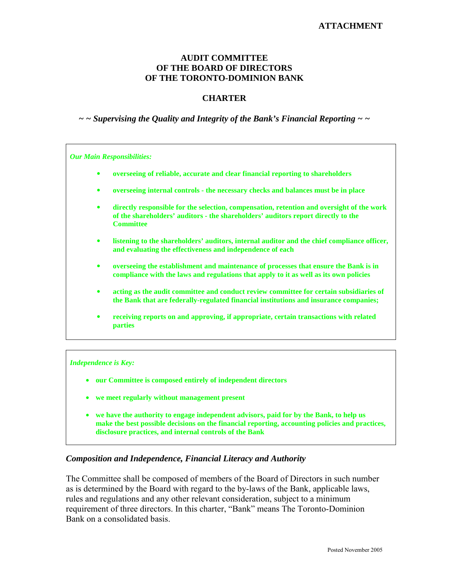# **AUDIT COMMITTEE OF THE BOARD OF DIRECTORS OF THE TORONTO-DOMINION BANK**

# **CHARTER**

# *~ ~ Supervising the Quality and Integrity of the Bank's Financial Reporting ~ ~*

*Our Main Responsibilities:* 

- $\bullet$ **overseeing of reliable, accurate and clear financial reporting to shareholders**
- $\bullet$ **overseeing internal controls - the necessary checks and balances must be in place**
- $\bullet$  **directly responsible for the selection, compensation, retention and oversight of the work of the shareholders' auditors - the shareholders' auditors report directly to the Committee**
- $\bullet$  **listening to the shareholders' auditors, internal auditor and the chief compliance officer, and evaluating the effectiveness and independence of each**
- $\bullet$  **overseeing the establishment and maintenance of processes that ensure the Bank is in compliance with the laws and regulations that apply to it as well as its own policies**
- $\bullet$  **acting as the audit committee and conduct review committee for certain subsidiaries of the Bank that are federally-regulated financial institutions and insurance companies;**
- $\bullet$  **receiving reports on and approving, if appropriate, certain transactions with related parties**

#### *Independence is Key:*

- **our Committee is composed entirely of independent directors**
- **we meet regularly without management present**
- **we have the authority to engage independent advisors, paid for by the Bank, to help us make the best possible decisions on the financial reporting, accounting policies and practices, disclosure practices, and internal controls of the Bank**

# *Composition and Independence, Financial Literacy and Authority*

The Committee shall be composed of members of the Board of Directors in such number as is determined by the Board with regard to the by-laws of the Bank, applicable laws, rules and regulations and any other relevant consideration, subject to a minimum requirement of three directors. In this charter, "Bank" means The Toronto-Dominion Bank on a consolidated basis.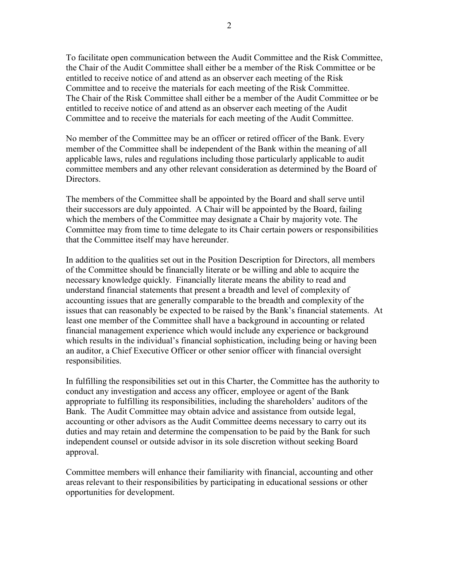To facilitate open communication between the Audit Committee and the Risk Committee, the Chair of the Audit Committee shall either be a member of the Risk Committee or be entitled to receive notice of and attend as an observer each meeting of the Risk Committee and to receive the materials for each meeting of the Risk Committee. The Chair of the Risk Committee shall either be a member of the Audit Committee or be entitled to receive notice of and attend as an observer each meeting of the Audit Committee and to receive the materials for each meeting of the Audit Committee.

No member of the Committee may be an officer or retired officer of the Bank. Every member of the Committee shall be independent of the Bank within the meaning of all applicable laws, rules and regulations including those particularly applicable to audit committee members and any other relevant consideration as determined by the Board of **Directors** 

The members of the Committee shall be appointed by the Board and shall serve until their successors are duly appointed. A Chair will be appointed by the Board, failing which the members of the Committee may designate a Chair by majority vote. The Committee may from time to time delegate to its Chair certain powers or responsibilities that the Committee itself may have hereunder.

In addition to the qualities set out in the Position Description for Directors, all members of the Committee should be financially literate or be willing and able to acquire the necessary knowledge quickly. Financially literate means the ability to read and understand financial statements that present a breadth and level of complexity of accounting issues that are generally comparable to the breadth and complexity of the issues that can reasonably be expected to be raised by the Bank's financial statements. At least one member of the Committee shall have a background in accounting or related financial management experience which would include any experience or background which results in the individual's financial sophistication, including being or having been an auditor, a Chief Executive Officer or other senior officer with financial oversight responsibilities.

In fulfilling the responsibilities set out in this Charter, the Committee has the authority to conduct any investigation and access any officer, employee or agent of the Bank appropriate to fulfilling its responsibilities, including the shareholders' auditors of the Bank. The Audit Committee may obtain advice and assistance from outside legal, accounting or other advisors as the Audit Committee deems necessary to carry out its duties and may retain and determine the compensation to be paid by the Bank for such independent counsel or outside advisor in its sole discretion without seeking Board approval.

Committee members will enhance their familiarity with financial, accounting and other areas relevant to their responsibilities by participating in educational sessions or other opportunities for development.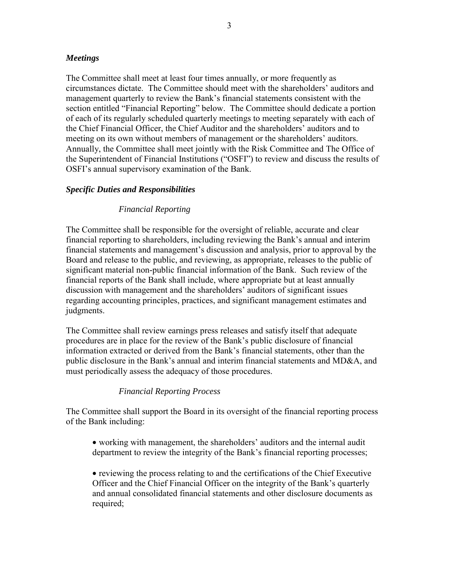# *Meetings*

The Committee shall meet at least four times annually, or more frequently as circumstances dictate. The Committee should meet with the shareholders' auditors and management quarterly to review the Bank's financial statements consistent with the section entitled "Financial Reporting" below. The Committee should dedicate a portion of each of its regularly scheduled quarterly meetings to meeting separately with each of the Chief Financial Officer, the Chief Auditor and the shareholders' auditors and to meeting on its own without members of management or the shareholders' auditors. Annually, the Committee shall meet jointly with the Risk Committee and The Office of the Superintendent of Financial Institutions ("OSFI") to review and discuss the results of OSFI's annual supervisory examination of the Bank.

# *Specific Duties and Responsibilities*

# *Financial Reporting*

The Committee shall be responsible for the oversight of reliable, accurate and clear financial reporting to shareholders, including reviewing the Bank's annual and interim financial statements and management's discussion and analysis, prior to approval by the Board and release to the public, and reviewing, as appropriate, releases to the public of significant material non-public financial information of the Bank. Such review of the financial reports of the Bank shall include, where appropriate but at least annually discussion with management and the shareholders' auditors of significant issues regarding accounting principles, practices, and significant management estimates and judgments.

The Committee shall review earnings press releases and satisfy itself that adequate procedures are in place for the review of the Bank's public disclosure of financial information extracted or derived from the Bank's financial statements, other than the public disclosure in the Bank's annual and interim financial statements and MD&A, and must periodically assess the adequacy of those procedures.

# *Financial Reporting Process*

The Committee shall support the Board in its oversight of the financial reporting process of the Bank including:

• working with management, the shareholders' auditors and the internal audit department to review the integrity of the Bank's financial reporting processes;

• reviewing the process relating to and the certifications of the Chief Executive Officer and the Chief Financial Officer on the integrity of the Bank's quarterly and annual consolidated financial statements and other disclosure documents as required;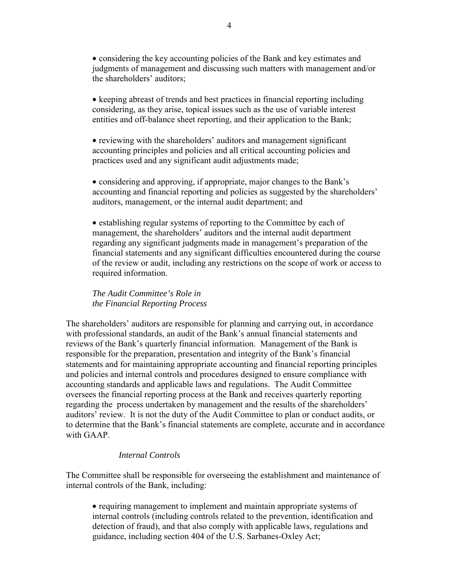• considering the key accounting policies of the Bank and key estimates and judgments of management and discussing such matters with management and/or the shareholders' auditors;

• keeping abreast of trends and best practices in financial reporting including considering, as they arise, topical issues such as the use of variable interest entities and off-balance sheet reporting, and their application to the Bank;

• reviewing with the shareholders' auditors and management significant accounting principles and policies and all critical accounting policies and practices used and any significant audit adjustments made;

• considering and approving, if appropriate, major changes to the Bank's accounting and financial reporting and policies as suggested by the shareholders' auditors, management, or the internal audit department; and

• establishing regular systems of reporting to the Committee by each of management, the shareholders' auditors and the internal audit department regarding any significant judgments made in management's preparation of the financial statements and any significant difficulties encountered during the course of the review or audit, including any restrictions on the scope of work or access to required information.

*The Audit Committee's Role in the Financial Reporting Process* 

The shareholders' auditors are responsible for planning and carrying out, in accordance with professional standards, an audit of the Bank's annual financial statements and reviews of the Bank's quarterly financial information. Management of the Bank is responsible for the preparation, presentation and integrity of the Bank's financial statements and for maintaining appropriate accounting and financial reporting principles and policies and internal controls and procedures designed to ensure compliance with accounting standards and applicable laws and regulations. The Audit Committee oversees the financial reporting process at the Bank and receives quarterly reporting regarding the process undertaken by management and the results of the shareholders' auditors' review. It is not the duty of the Audit Committee to plan or conduct audits, or to determine that the Bank's financial statements are complete, accurate and in accordance with GAAP.

# *Internal Controls*

The Committee shall be responsible for overseeing the establishment and maintenance of internal controls of the Bank, including:

• requiring management to implement and maintain appropriate systems of internal controls (including controls related to the prevention, identification and detection of fraud), and that also comply with applicable laws, regulations and guidance, including section 404 of the U.S. Sarbanes-Oxley Act;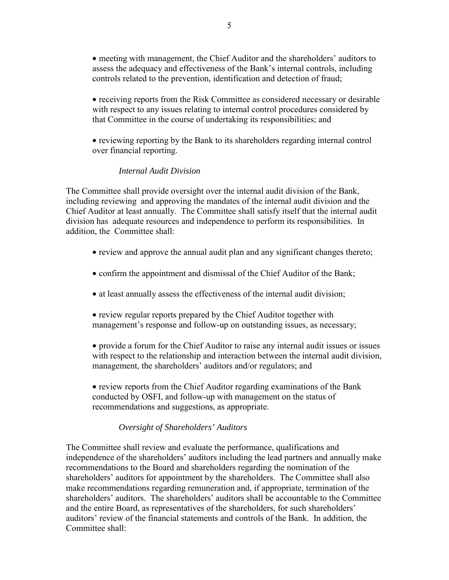• meeting with management, the Chief Auditor and the shareholders' auditors to assess the adequacy and effectiveness of the Bank's internal controls, including controls related to the prevention, identification and detection of fraud;

- receiving reports from the Risk Committee as considered necessary or desirable with respect to any issues relating to internal control procedures considered by that Committee in the course of undertaking its responsibilities; and
- reviewing reporting by the Bank to its shareholders regarding internal control over financial reporting.

# *Internal Audit Division*

The Committee shall provide oversight over the internal audit division of the Bank, including reviewing and approving the mandates of the internal audit division and the Chief Auditor at least annually. The Committee shall satisfy itself that the internal audit division has adequate resources and independence to perform its responsibilities. In addition, the Committee shall:

- review and approve the annual audit plan and any significant changes thereto;
- confirm the appointment and dismissal of the Chief Auditor of the Bank;
- at least annually assess the effectiveness of the internal audit division;
- review regular reports prepared by the Chief Auditor together with management's response and follow-up on outstanding issues, as necessary;
- provide a forum for the Chief Auditor to raise any internal audit issues or issues with respect to the relationship and interaction between the internal audit division, management, the shareholders' auditors and/or regulators; and
- review reports from the Chief Auditor regarding examinations of the Bank conducted by OSFI, and follow-up with management on the status of recommendations and suggestions, as appropriate.

# *Oversight of Shareholders' Auditors*

The Committee shall review and evaluate the performance, qualifications and independence of the shareholders' auditors including the lead partners and annually make recommendations to the Board and shareholders regarding the nomination of the shareholders' auditors for appointment by the shareholders. The Committee shall also make recommendations regarding remuneration and, if appropriate, termination of the shareholders' auditors. The shareholders' auditors shall be accountable to the Committee and the entire Board, as representatives of the shareholders, for such shareholders' auditors' review of the financial statements and controls of the Bank. In addition, the Committee shall: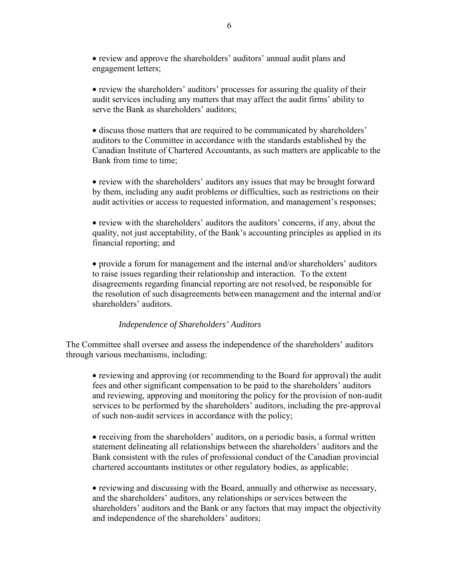• review and approve the shareholders' auditors' annual audit plans and engagement letters;

• review the shareholders' auditors' processes for assuring the quality of their audit services including any matters that may affect the audit firms' ability to serve the Bank as shareholders' auditors;

• discuss those matters that are required to be communicated by shareholders' auditors to the Committee in accordance with the standards established by the Canadian Institute of Chartered Accountants, as such matters are applicable to the Bank from time to time:

• review with the shareholders' auditors any issues that may be brought forward by them, including any audit problems or difficulties, such as restrictions on their audit activities or access to requested information, and management's responses;

• review with the shareholders' auditors the auditors' concerns, if any, about the quality, not just acceptability, of the Bank's accounting principles as applied in its financial reporting; and

• provide a forum for management and the internal and/or shareholders' auditors to raise issues regarding their relationship and interaction. To the extent disagreements regarding financial reporting are not resolved, be responsible for the resolution of such disagreements between management and the internal and/or shareholders' auditors.

# *Independence of Shareholders' Auditors*

The Committee shall oversee and assess the independence of the shareholders' auditors through various mechanisms, including:

• reviewing and approving (or recommending to the Board for approval) the audit fees and other significant compensation to be paid to the shareholders' auditors and reviewing, approving and monitoring the policy for the provision of non-audit services to be performed by the shareholders' auditors, including the pre-approval of such non-audit services in accordance with the policy;

• receiving from the shareholders' auditors, on a periodic basis, a formal written statement delineating all relationships between the shareholders' auditors and the Bank consistent with the rules of professional conduct of the Canadian provincial chartered accountants institutes or other regulatory bodies, as applicable;

• reviewing and discussing with the Board, annually and otherwise as necessary, and the shareholders' auditors, any relationships or services between the shareholders' auditors and the Bank or any factors that may impact the objectivity and independence of the shareholders' auditors;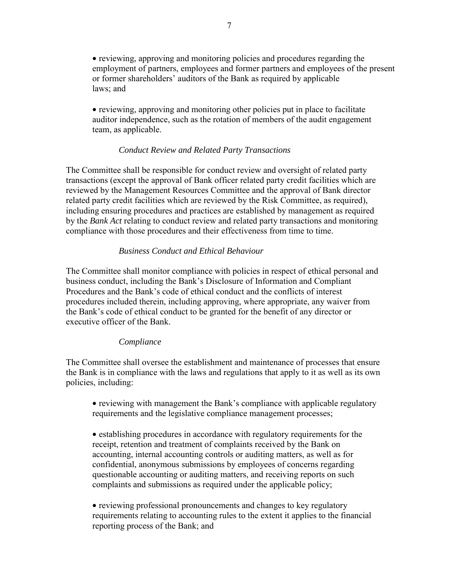• reviewing, approving and monitoring policies and procedures regarding the employment of partners, employees and former partners and employees of the present or former shareholders' auditors of the Bank as required by applicable laws; and

• reviewing, approving and monitoring other policies put in place to facilitate auditor independence, such as the rotation of members of the audit engagement team, as applicable.

# *Conduct Review and Related Party Transactions*

The Committee shall be responsible for conduct review and oversight of related party transactions (except the approval of Bank officer related party credit facilities which are reviewed by the Management Resources Committee and the approval of Bank director related party credit facilities which are reviewed by the Risk Committee, as required), including ensuring procedures and practices are established by management as required by the *Bank Act* relating to conduct review and related party transactions and monitoring compliance with those procedures and their effectiveness from time to time.

# *Business Conduct and Ethical Behaviour*

The Committee shall monitor compliance with policies in respect of ethical personal and business conduct, including the Bank's Disclosure of Information and Compliant Procedures and the Bank's code of ethical conduct and the conflicts of interest procedures included therein, including approving, where appropriate, any waiver from the Bank's code of ethical conduct to be granted for the benefit of any director or executive officer of the Bank.

# *Compliance*

The Committee shall oversee the establishment and maintenance of processes that ensure the Bank is in compliance with the laws and regulations that apply to it as well as its own policies, including:

• reviewing with management the Bank's compliance with applicable regulatory requirements and the legislative compliance management processes;

• establishing procedures in accordance with regulatory requirements for the receipt, retention and treatment of complaints received by the Bank on accounting, internal accounting controls or auditing matters, as well as for confidential, anonymous submissions by employees of concerns regarding questionable accounting or auditing matters, and receiving reports on such complaints and submissions as required under the applicable policy;

• reviewing professional pronouncements and changes to key regulatory requirements relating to accounting rules to the extent it applies to the financial reporting process of the Bank; and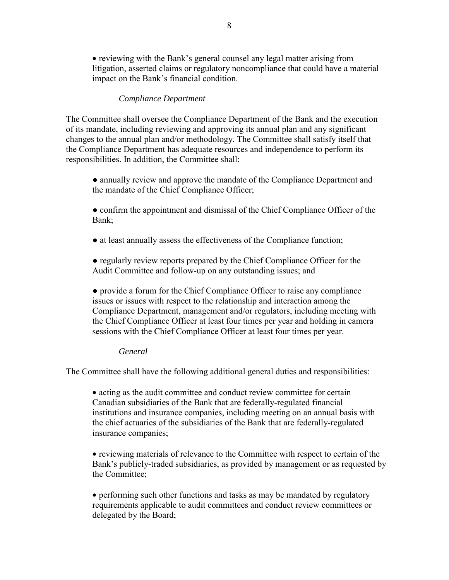• reviewing with the Bank's general counsel any legal matter arising from litigation, asserted claims or regulatory noncompliance that could have a material impact on the Bank's financial condition.

# *Compliance Department*

The Committee shall oversee the Compliance Department of the Bank and the execution of its mandate, including reviewing and approving its annual plan and any significant changes to the annual plan and/or methodology. The Committee shall satisfy itself that the Compliance Department has adequate resources and independence to perform its responsibilities. In addition, the Committee shall:

- annually review and approve the mandate of the Compliance Department and the mandate of the Chief Compliance Officer;
- confirm the appointment and dismissal of the Chief Compliance Officer of the Bank;
- at least annually assess the effectiveness of the Compliance function;
- regularly review reports prepared by the Chief Compliance Officer for the Audit Committee and follow-up on any outstanding issues; and

● provide a forum for the Chief Compliance Officer to raise any compliance issues or issues with respect to the relationship and interaction among the Compliance Department, management and/or regulators, including meeting with the Chief Compliance Officer at least four times per year and holding in camera sessions with the Chief Compliance Officer at least four times per year.

# *General*

The Committee shall have the following additional general duties and responsibilities:

• acting as the audit committee and conduct review committee for certain Canadian subsidiaries of the Bank that are federally-regulated financial institutions and insurance companies, including meeting on an annual basis with the chief actuaries of the subsidiaries of the Bank that are federally-regulated insurance companies;

• reviewing materials of relevance to the Committee with respect to certain of the Bank's publicly-traded subsidiaries, as provided by management or as requested by the Committee;

• performing such other functions and tasks as may be mandated by regulatory requirements applicable to audit committees and conduct review committees or delegated by the Board;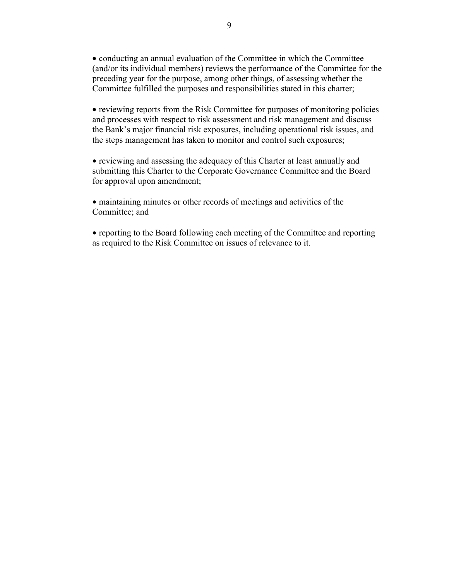• conducting an annual evaluation of the Committee in which the Committee (and/or its individual members) reviews the performance of the Committee for the preceding year for the purpose, among other things, of assessing whether the Committee fulfilled the purposes and responsibilities stated in this charter;

• reviewing reports from the Risk Committee for purposes of monitoring policies and processes with respect to risk assessment and risk management and discuss the Bank's major financial risk exposures, including operational risk issues, and the steps management has taken to monitor and control such exposures;

• reviewing and assessing the adequacy of this Charter at least annually and submitting this Charter to the Corporate Governance Committee and the Board for approval upon amendment;

• maintaining minutes or other records of meetings and activities of the Committee; and

• reporting to the Board following each meeting of the Committee and reporting as required to the Risk Committee on issues of relevance to it.